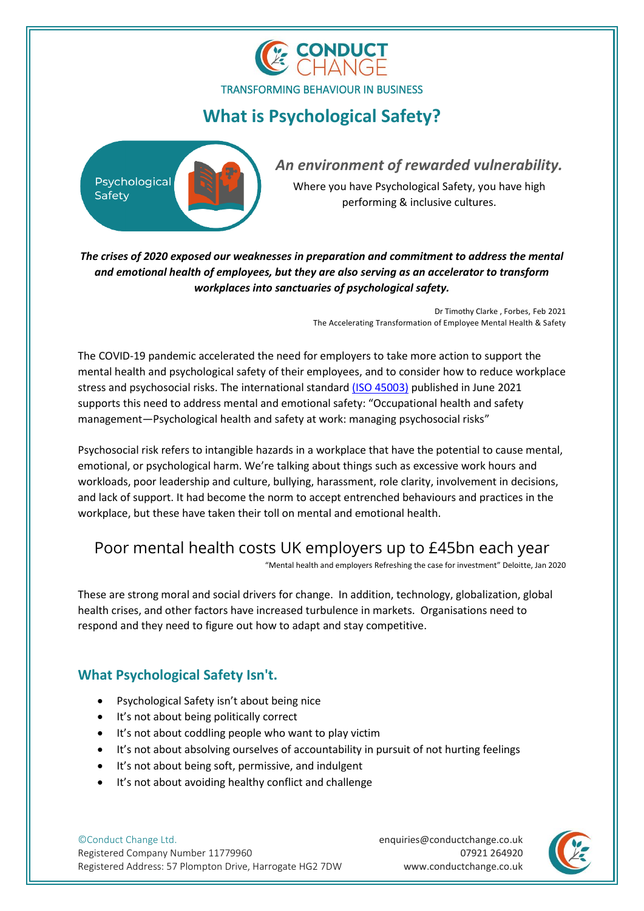

# **What is Psychological Safety?**



*An environment of rewarded vulnerability.*

Where you have Psychological Safety, you have high performing & inclusive cultures.

*The crises of 2020 exposed our weaknesses in preparation and commitment to address the mental and emotional health of employees, but they are also serving as an accelerator to transform workplaces into sanctuaries of psychological safety.*

> Dr Timothy Clarke , Forbes, Feb 2021 The Accelerating Transformation of Employee Mental Health & Safety

The COVID-19 pandemic accelerated the need for employers to take more action to support the mental health and psychological safety of their employees, and to consider how to reduce workplace stress and psychosocial risks. The international standard [\(ISO 45003\)](https://www.iso.org/standard/64283.html) published in June 2021 supports this need to address mental and emotional safety: "Occupational health and safety management—Psychological health and safety at work: managing psychosocial risks"

Psychosocial risk refers to intangible hazards in a workplace that have the potential to cause mental, emotional, or psychological harm. We're talking about things such as excessive work hours and workloads, poor leadership and culture, bullying, harassment, role clarity, involvement in decisions, and lack of support. It had become the norm to accept entrenched behaviours and practices in the workplace, but these have taken their toll on mental and emotional health.

## Poor mental health costs UK employers up to £45bn each year

"Mental health and employers Refreshing the case for investment" Deloitte, Jan 2020

These are strong moral and social drivers for change. In addition, technology, globalization, global health crises, and other factors have increased turbulence in markets. Organisations need to respond and they need to figure out how to adapt and stay competitive.

## **What Psychological Safety Isn't.**

- Psychological Safety isn't about being nice
- It's not about being politically correct
- It's not about coddling people who want to play victim
- It's not about absolving ourselves of accountability in pursuit of not hurting feelings
- It's not about being soft, permissive, and indulgent
- It's not about avoiding healthy conflict and challenge

©Conduct Change Ltd. Registered Company Number 11779960 Registered Address: 57 Plompton Drive, Harrogate HG2 7DW

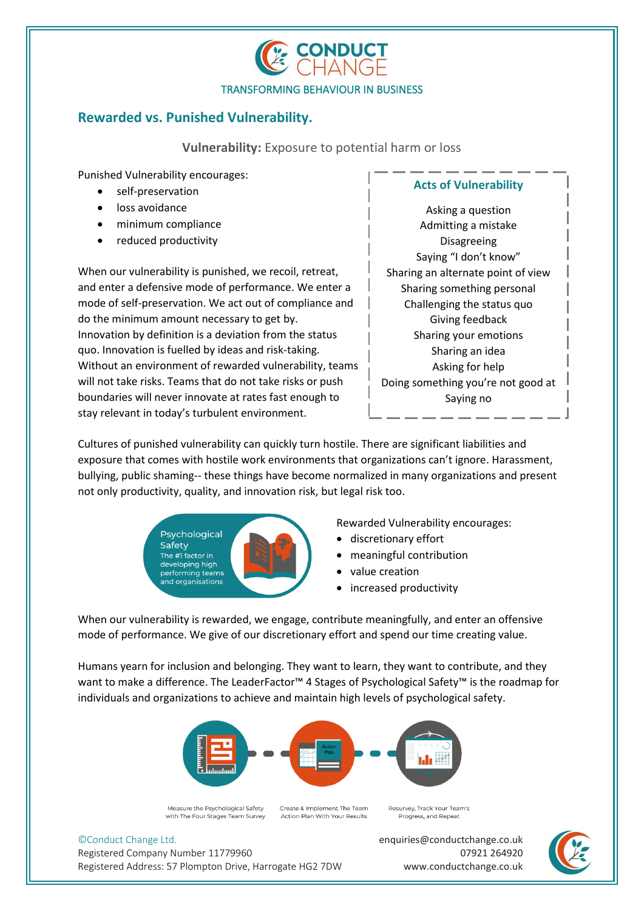

### **Rewarded vs. Punished Vulnerability.**

**Vulnerability:** Exposure to potential harm or loss

Punished Vulnerability encourages:

- self-preservation
- loss avoidance
- minimum compliance
- reduced productivity

When our vulnerability is punished, we recoil, retreat, and enter a defensive mode of performance. We enter a mode of self-preservation. We act out of compliance and do the minimum amount necessary to get by. Innovation by definition is a deviation from the status quo. Innovation is fuelled by ideas and risk-taking. Without an environment of rewarded vulnerability, teams will not take risks. Teams that do not take risks or push boundaries will never innovate at rates fast enough to stay relevant in today's turbulent environment.

**Acts of Vulnerability**

Asking a question Admitting a mistake Disagreeing Saying "I don't know" Sharing an alternate point of view Sharing something personal Challenging the status quo Giving feedback Sharing your emotions Sharing an idea Asking for help Doing something you're not good at Saying no

Cultures of punished vulnerability can quickly turn hostile. There are significant liabilities and exposure that comes with hostile work environments that organizations can't ignore. Harassment, bullying, public shaming-- these things have become normalized in many organizations and present not only productivity, quality, and innovation risk, but legal risk too.



Rewarded Vulnerability encourages:

- discretionary effort
- meaningful contribution
- value creation
- increased productivity

When our vulnerability is rewarded, we engage, contribute meaningfully, and enter an offensive mode of performance. We give of our discretionary effort and spend our time creating value.

Humans yearn for inclusion and belonging. They want to learn, they want to contribute, and they want to make a difference. The LeaderFactor™ 4 Stages of Psychological Safety™ is the roadmap for individuals and organizations to achieve and maintain high levels of psychological safety.



Measure the Psychological Safety with The Four Stages Team Survey

Create & Implement The Team Action Plan With Your Results

Resurvey, Track Your Team's Progress, and Repeat

©Conduct Change Ltd.

Registered Company Number 11779960 Registered Address: 57 Plompton Drive, Harrogate HG2 7DW

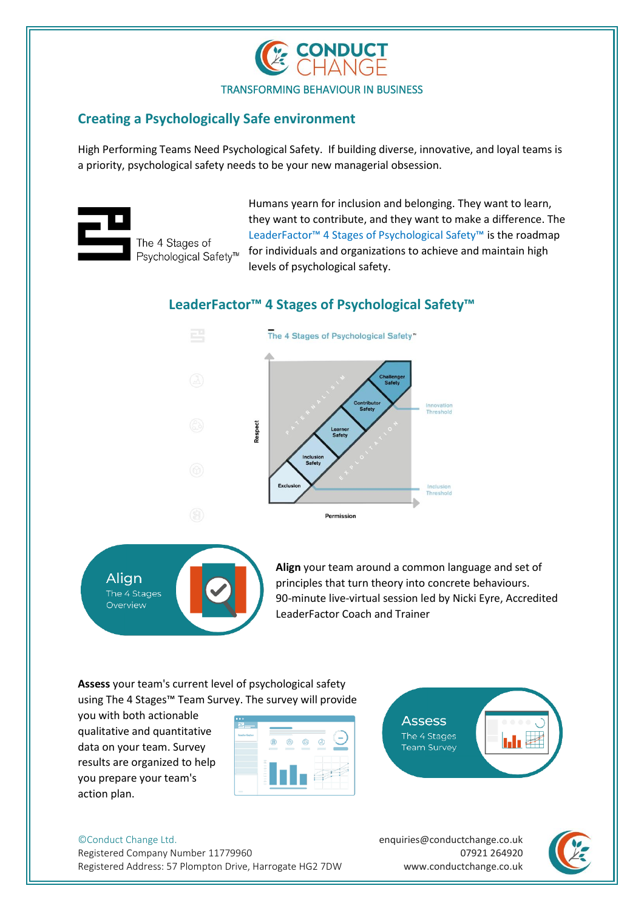

### **Creating a Psychologically Safe environment**

High Performing Teams Need Psychological Safety. If building diverse, innovative, and loyal teams is a priority, psychological safety needs to be your new managerial obsession.



Humans yearn for inclusion and belonging. They want to learn, they want to contribute, and they want to make a difference. The LeaderFactor™ 4 Stages of Psychological Safety™ is the roadmap for individuals and organizations to achieve and maintain high levels of psychological safety.

### **LeaderFactor™ 4 Stages of Psychological Safety™**





**Align** your team around a common language and set of principles that turn theory into concrete behaviours. 90-minute live-virtual session led by Nicki Eyre, Accredited LeaderFactor Coach and Trainer

I<mark>nnovati</mark><br>Thresho

**Inclusio**<br>Thresho

**Assess** your team's current level of psychological safety using The 4 Stages™ Team Survey. The survey will provide

you with both actionable qualitative and quantitative data on your team. Survey results are organized to help you prepare your team's action plan.





©Conduct Change Ltd. Registered Company Number 11779960 Registered Address: 57 Plompton Drive, Harrogate HG2 7DW